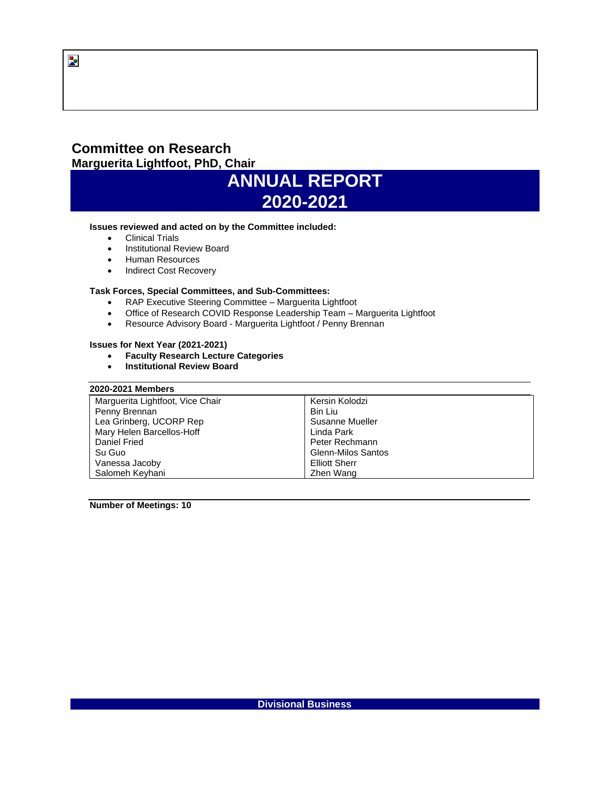# **Committee on Research Marguerita Lightfoot, PhD, Chair**



#### **Issues reviewed and acted on by the Committee included:**

- Clinical Trials
- Institutional Review Board
- Human Resources
- Indirect Cost Recovery

## **Task Forces, Special Committees, and Sub-Committees:**

- RAP Executive Steering Committee Marguerita Lightfoot
- Office of Research COVID Response Leadership Team Marguerita Lightfoot
- Resource Advisory Board Marguerita Lightfoot / Penny Brennan

#### **Issues for Next Year (2021-2021)**

- **Faculty Research Lecture Categories**
- **Institutional Review Board**

## **2020-2021 Members**

| Marguerita Lightfoot, Vice Chair | Kersin Kolodzi            |
|----------------------------------|---------------------------|
| Penny Brennan                    | Bin Liu                   |
| Lea Grinberg, UCORP Rep          | Susanne Mueller           |
| Mary Helen Barcellos-Hoff        | Linda Park                |
| Daniel Fried                     | Peter Rechmann            |
| Su Guo                           | <b>Glenn-Milos Santos</b> |
| Vanessa Jacoby                   | <b>Elliott Sherr</b>      |
| Salomeh Keyhani                  | Zhen Wang                 |

**Number of Meetings: 10**

 $\overline{\mathbf{z}}$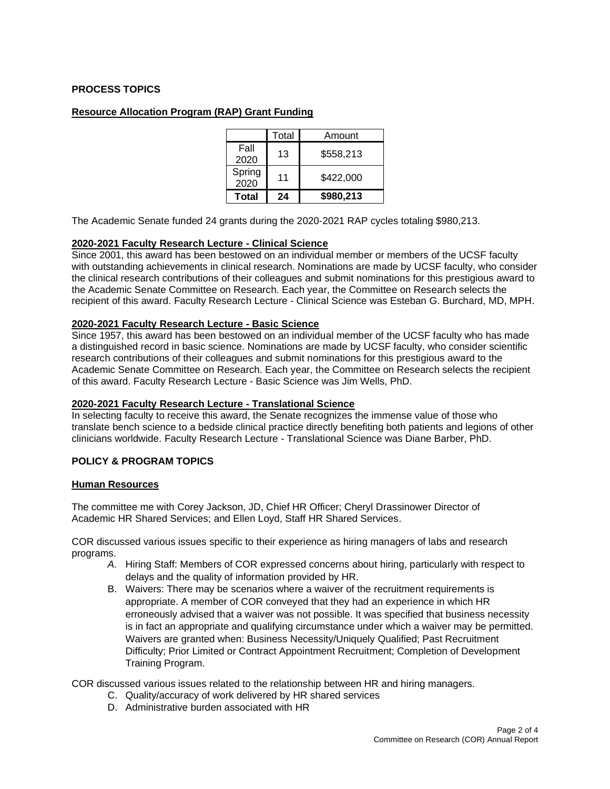# **PROCESS TOPICS**

## **Resource Allocation Program (RAP) Grant Funding**

|                | Total | Amount    |
|----------------|-------|-----------|
| Fall<br>2020   | 13    | \$558,213 |
| Spring<br>2020 | 11    | \$422,000 |
| Total          | 24    | \$980,213 |

The Academic Senate funded 24 grants during the 2020-2021 RAP cycles totaling \$980,213.

#### **2020-2021 Faculty Research Lecture - Clinical Science**

Since 2001, this award has been bestowed on an individual member or members of the UCSF faculty with outstanding achievements in clinical research. Nominations are made by UCSF faculty, who consider the clinical research contributions of their colleagues and submit nominations for this prestigious award to the Academic Senate Committee on Research. Each year, the Committee on Research selects the recipient of this award. Faculty Research Lecture - Clinical Science was Esteban G. Burchard, MD, MPH.

#### **2020-2021 Faculty Research Lecture - Basic Science**

Since 1957, this award has been bestowed on an individual member of the UCSF faculty who has made a distinguished record in basic science. Nominations are made by UCSF faculty, who consider scientific research contributions of their colleagues and submit nominations for this prestigious award to the Academic Senate Committee on Research. Each year, the Committee on Research selects the recipient of this award. Faculty Research Lecture - Basic Science was Jim Wells, PhD.

#### **2020-2021 Faculty Research Lecture - Translational Science**

In selecting faculty to receive this award, the Senate recognizes the immense value of those who translate bench science to a bedside clinical practice directly benefiting both patients and legions of other clinicians worldwide. Faculty Research Lecture - Translational Science was Diane Barber, PhD.

## **POLICY & PROGRAM TOPICS**

## **Human Resources**

The committee me with Corey Jackson, JD, Chief HR Officer; Cheryl Drassinower Director of Academic HR Shared Services; and Ellen Loyd, Staff HR Shared Services.

COR discussed various issues specific to their experience as hiring managers of labs and research programs.

- *A.* Hiring Staff: Members of COR expressed concerns about hiring, particularly with respect to delays and the quality of information provided by HR.
- B. Waivers: There may be scenarios where a waiver of the recruitment requirements is appropriate. A member of COR conveyed that they had an experience in which HR erroneously advised that a waiver was not possible. It was specified that business necessity is in fact an appropriate and qualifying circumstance under which a waiver may be permitted. Waivers are granted when: Business Necessity/Uniquely Qualified; Past Recruitment Difficulty; Prior Limited or Contract Appointment Recruitment; Completion of Development Training Program.

COR discussed various issues related to the relationship between HR and hiring managers.

- C. Quality/accuracy of work delivered by HR shared services
- D. Administrative burden associated with HR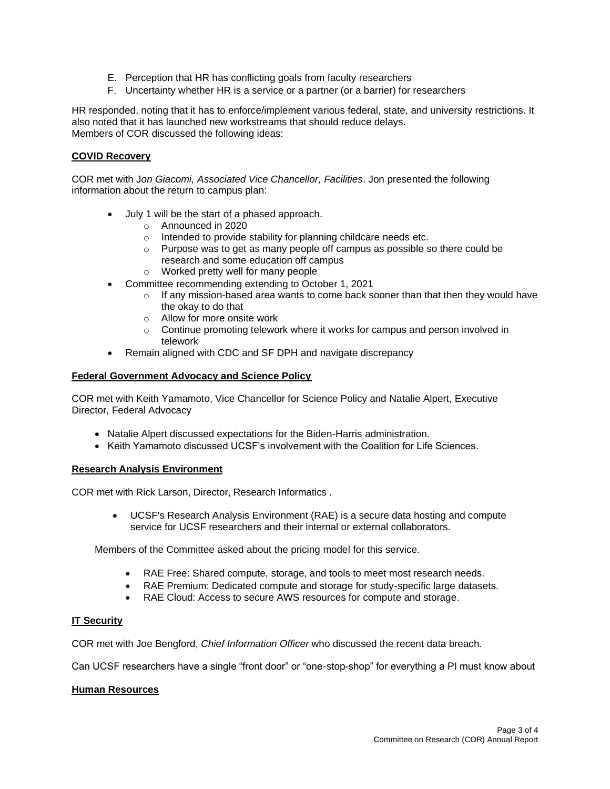- E. Perception that HR has conflicting goals from faculty researchers
- F. Uncertainty whether HR is a service or a partner (or a barrier) for researchers

HR responded, noting that it has to enforce/implement various federal, state, and university restrictions. It also noted that it has launched new workstreams that should reduce delays. Members of COR discussed the following ideas:

# **COVID Recovery**

COR met with J*on Giacomi, Associated Vice Chancellor, Facilities*. Jon presented the following information about the return to campus plan:

- July 1 will be the start of a phased approach.
	- o Announced in 2020
	- o Intended to provide stability for planning childcare needs etc.
	- $\circ$  Purpose was to get as many people off campus as possible so there could be research and some education off campus
	- o Worked pretty well for many people
- Committee recommending extending to October 1, 2021
	- $\circ$  If any mission-based area wants to come back sooner than that then they would have the okay to do that
	- o Allow for more onsite work
	- $\circ$  Continue promoting telework where it works for campus and person involved in telework
- Remain aligned with CDC and SF DPH and navigate discrepancy

## **Federal Government Advocacy and Science Policy**

COR met with Keith Yamamoto, Vice Chancellor for Science Policy and Natalie Alpert, Executive Director, Federal Advocacy

- Natalie Alpert discussed expectations for the Biden-Harris administration.
- Keith Yamamoto discussed UCSF's involvement with the Coalition for Life Sciences.

# **Research Analysis Environment**

COR met with Rick Larson, Director, Research Informatics .

• UCSF's Research Analysis Environment (RAE) is a secure data hosting and compute service for UCSF researchers and their internal or external collaborators.

Members of the Committee asked about the pricing model for this service.

- RAE Free: Shared compute, storage, and tools to meet most research needs.
- RAE Premium: Dedicated compute and storage for study-specific large datasets.
- RAE Cloud: Access to secure AWS resources for compute and storage.

# **IT Security**

COR met with Joe Bengford, *Chief Information Officer* who discussed the recent data breach.

Can UCSF researchers have a single "front door" or "one-stop-shop" for everything a PI must know about

## **Human Resources**